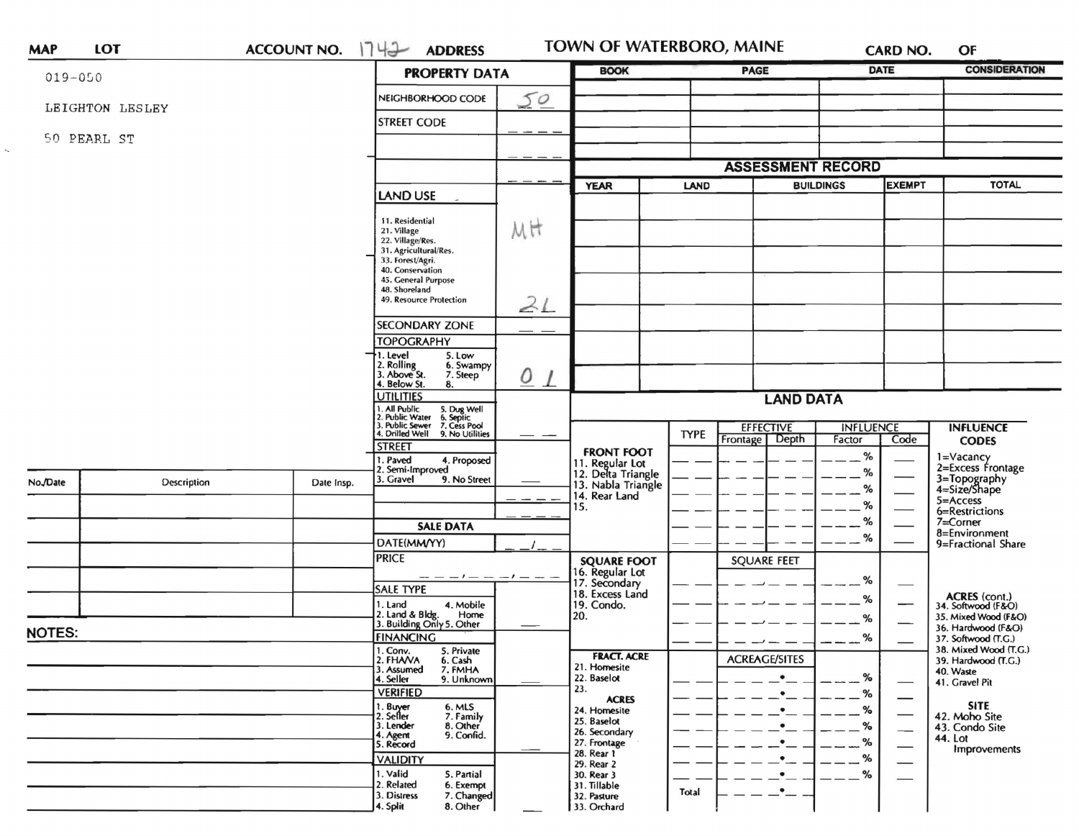| <b>MAP</b>    | LOT             | <b>ACCOUNT NO.</b> | 1742<br><b>ADDRESS</b>                                                                           |                      | TOWN OF WATERBORO, MAINE                   |             |                          |                  | <b>CARD NO.</b>                | OF                                           |
|---------------|-----------------|--------------------|--------------------------------------------------------------------------------------------------|----------------------|--------------------------------------------|-------------|--------------------------|------------------|--------------------------------|----------------------------------------------|
| $019 - 050$   |                 |                    | <b>PROPERTY DATA</b>                                                                             |                      | <b>BOOK</b>                                |             | <b>PAGE</b>              |                  | <b>DATE</b>                    | <b>CONSIDERATION</b>                         |
|               | LEIGHTON LESLEY |                    | NEIGHBORHOOD CODE                                                                                | 50                   |                                            |             |                          |                  |                                |                                              |
|               |                 |                    | <b>STREET CODE</b>                                                                               |                      |                                            |             |                          |                  |                                |                                              |
|               | 50 PEARL ST     |                    |                                                                                                  |                      |                                            |             |                          |                  |                                |                                              |
|               |                 |                    |                                                                                                  |                      |                                            |             | <b>ASSESSMENT RECORD</b> |                  |                                |                                              |
|               |                 |                    | <b>LAND USE</b>                                                                                  |                      | <b>YEAR</b>                                | <b>LAND</b> |                          | <b>BUILDINGS</b> | <b>EXEMPT</b>                  | <b>TOTAL</b>                                 |
|               |                 |                    |                                                                                                  |                      |                                            |             |                          |                  |                                |                                              |
|               |                 |                    | 11. Residential<br>21. Village<br>22. Village/Res.                                               | MH                   |                                            |             |                          |                  |                                |                                              |
|               |                 |                    | 31. Agricultural/Res.<br>33. Forest/Agri.                                                        |                      |                                            |             |                          |                  |                                |                                              |
|               |                 |                    | 40. Conservation<br>45. General Purpose                                                          |                      |                                            |             |                          |                  |                                |                                              |
|               |                 |                    | 48. Shoreland<br>49. Resource Protection                                                         | 21                   |                                            |             |                          |                  |                                |                                              |
|               |                 |                    | <b>SECONDARY ZONE</b>                                                                            |                      |                                            |             |                          |                  |                                |                                              |
|               |                 |                    | <b>TOPOGRAPHY</b>                                                                                |                      |                                            |             |                          |                  |                                |                                              |
|               |                 |                    | 1. Level<br>5. Low<br>2. Rolling<br>3. Above St.<br>6. Swampy                                    |                      |                                            |             |                          |                  |                                |                                              |
|               |                 |                    | 7. Steep<br>4. Below St.<br>8.                                                                   | $\Omega$<br>$\prime$ |                                            |             |                          |                  |                                |                                              |
|               |                 |                    | <b>UTILITIES</b><br>I. All Public<br>2. Public Water                                             |                      | <b>LAND DATA</b>                           |             |                          |                  |                                |                                              |
|               |                 |                    | 5. Dug Well<br>6. Septic<br>7. Cess Pool<br>. Public Sewer<br>4. Drilled Well<br>9. No Utilities |                      |                                            | <b>TYPE</b> | <b>EFFECTIVE</b>         | <b>INFLUENCE</b> |                                | <b>INFLUENCE</b>                             |
|               |                 |                    | <b>STREET</b>                                                                                    |                      | <b>FRONT FOOT</b>                          |             | Frontage   Depth         | Factor           | Code                           | <b>CODES</b>                                 |
| No./Date      |                 |                    | 1. Paved<br>4. Proposed<br>2. Semi-Improved                                                      |                      | 11. Regular Lot<br>12. Delta Triangle      |             |                          | $\%$<br>$\%$     |                                | 1=Vacancy<br>2=Excess Frontage               |
|               | Description     | Date Insp.         | 3. Gravel<br>9. No Street                                                                        |                      | 13. Nabla Triangle<br>14. Rear Land<br>15. |             |                          | $\%$             |                                | 3=Topography<br>4=Size/Shape                 |
|               |                 |                    |                                                                                                  |                      |                                            |             |                          | %                |                                | $5 =$ Access<br>6=Restrictions               |
|               |                 |                    | <b>SALE DATA</b>                                                                                 |                      |                                            |             |                          | %                |                                | 7=Corner                                     |
|               |                 |                    | DATE(MM/YY)                                                                                      |                      |                                            |             |                          | %                |                                | 8=Environment<br>9=Fractional Share          |
|               |                 |                    | <b>PRICE</b>                                                                                     |                      | <b>SQUARE FOOT</b>                         |             | <b>SQUARE FEET</b>       |                  |                                |                                              |
|               |                 |                    | <b>SALE TYPE</b>                                                                                 |                      | 16. Regular Lot<br>17. Secondary           |             |                          | %                | $\overbrace{\hspace{25mm}}^{}$ |                                              |
|               |                 |                    | 1. Land<br>4. Mobile                                                                             |                      | 18. Excess Land<br>19. Condo.              |             |                          | %                | —                              | ACRES (cont.)<br>34. Softwood (F&O)          |
|               |                 |                    | 2. Land & Bldg. Home<br>3. Building Only 5. Other<br>Home                                        |                      | 20.                                        |             |                          | ℅                |                                | 35. Mixed Wood (F&O)                         |
| <b>NOTES:</b> |                 |                    | <b>FINANCING</b>                                                                                 |                      |                                            |             |                          | %                |                                | 36. Hardwood (F&O)<br>37. Softwood (T.G.)    |
|               |                 |                    | 1. Conv.<br>5. Private<br>2. FHA/VA<br>6. Cash                                                   |                      | <b>FRACT. ACRE</b>                         |             | <b>ACREAGE/SITES</b>     |                  |                                | 38. Mixed Wood (T.G.)<br>39. Hardwood (T.G.) |
|               |                 |                    | 7. FMHA<br>3. Assumed<br>4. Seller<br>9. Unknown                                                 |                      | 21. Homesite<br>22. Baselot                |             | $\bullet$                | %                |                                | 40. Waste                                    |
|               |                 |                    | <b>VERIFIED</b>                                                                                  |                      | 23.                                        |             | $\bullet$                | %                |                                | 41. Gravel Pit                               |
|               |                 |                    | 6. MLS<br>7. Family<br>1. Buyer<br>2. Seller                                                     |                      | <b>ACRES</b><br>24. Homesite               |             |                          | %                |                                | <b>SITE</b><br>42. Moho Site                 |
|               |                 |                    | 3. Lender<br>8. Other                                                                            |                      | 25. Baselot<br>26. Secondary               |             | ٠                        | %                | --                             | 43. Condo Site                               |
|               |                 |                    | 4. Agent<br>9. Confid.<br>5. Record                                                              |                      | 27. Frontage                               |             | $\bullet$                | $- -$ %          |                                | 44. Lot<br>Improvements                      |
|               |                 |                    | <b>VALIDITY</b>                                                                                  |                      | 28. Rear 1<br>29. Rear 2                   |             | $\bullet$                | $\%$             |                                |                                              |
|               |                 |                    | 1. Valid<br>5. Partial                                                                           |                      | 30. Rear 3                                 |             | $\bullet$                | $-$ %            |                                |                                              |
|               |                 |                    | 2. Related<br>6. Exempt<br>7. Changed<br>3. Distress                                             |                      | 31. Tillable<br>32. Pasture                | Total       | $\cdot$ $-$              |                  |                                |                                              |
|               |                 |                    | 8. Other<br>4. Split                                                                             |                      | 33. Orchard                                |             |                          |                  |                                |                                              |

 $\ddot{\phantom{0}}$